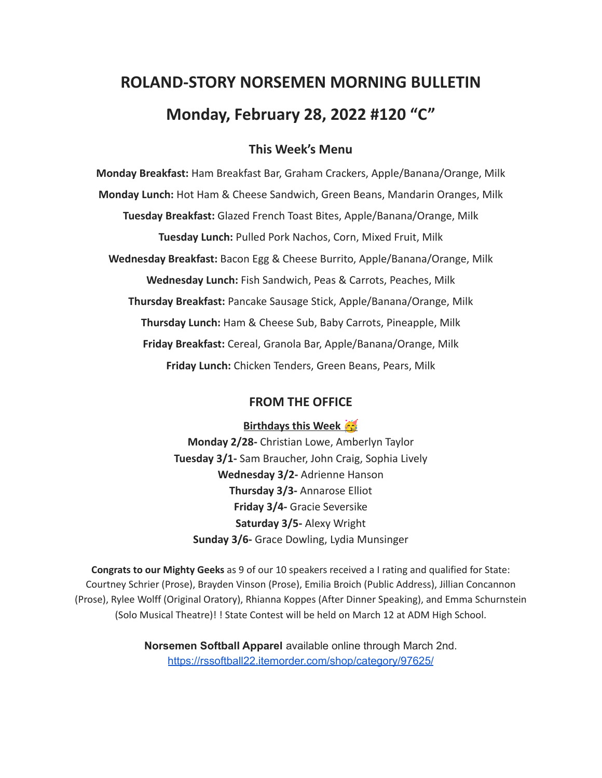# **ROLAND-STORY NORSEMEN MORNING BULLETIN Monday, February 28, 2022 #120 "C"**

## **This Week's Menu**

**Monday Breakfast:** Ham Breakfast Bar, Graham Crackers, Apple/Banana/Orange, Milk **Monday Lunch:** Hot Ham & Cheese Sandwich, Green Beans, Mandarin Oranges, Milk **Tuesday Breakfast:** Glazed French Toast Bites, Apple/Banana/Orange, Milk **Tuesday Lunch:** Pulled Pork Nachos, Corn, Mixed Fruit, Milk **Wednesday Breakfast:** Bacon Egg & Cheese Burrito, Apple/Banana/Orange, Milk **Wednesday Lunch:** Fish Sandwich, Peas & Carrots, Peaches, Milk **Thursday Breakfast:** Pancake Sausage Stick, Apple/Banana/Orange, Milk **Thursday Lunch:** Ham & Cheese Sub, Baby Carrots, Pineapple, Milk **Friday Breakfast:** Cereal, Granola Bar, Apple/Banana/Orange, Milk **Friday Lunch:** Chicken Tenders, Green Beans, Pears, Milk

#### **FROM THE OFFICE**

#### **Birthdays this Week**

**Monday 2/28-** Christian Lowe, Amberlyn Taylor **Tuesday 3/1-** Sam Braucher, John Craig, Sophia Lively **Wednesday 3/2-** Adrienne Hanson **Thursday 3/3-** Annarose Elliot **Friday 3/4-** Gracie Seversike **Saturday 3/5-** Alexy Wright **Sunday 3/6-** Grace Dowling, Lydia Munsinger

**Congrats to our Mighty Geeks** as 9 of our 10 speakers received a I rating and qualified for State: Courtney Schrier (Prose), Brayden Vinson (Prose), Emilia Broich (Public Address), Jillian Concannon (Prose), Rylee Wolff (Original Oratory), Rhianna Koppes (After Dinner Speaking), and Emma Schurnstein (Solo Musical Theatre)! ! State Contest will be held on March 12 at ADM High School.

> **Norsemen Softball Apparel** available online through March 2nd. <https://rssoftball22.itemorder.com/shop/category/97625/>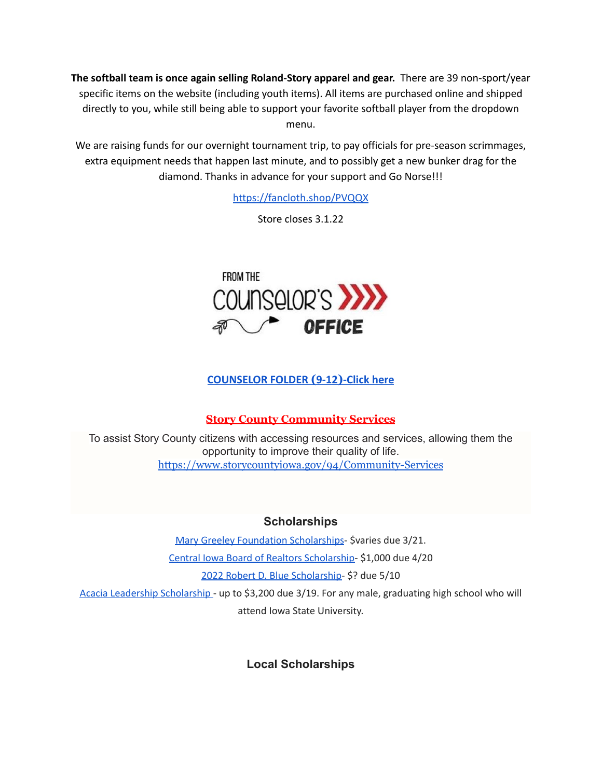**The softball team is once again selling Roland-Story apparel and gear.** There are 39 non-sport/year specific items on the website (including youth items). All items are purchased online and shipped directly to you, while still being able to support your favorite softball player from the dropdown menu.

We are raising funds for our overnight tournament trip, to pay officials for pre-season scrimmages, extra equipment needs that happen last minute, and to possibly get a new bunker drag for the diamond. Thanks in advance for your support and Go Norse!!!

<https://fancloth.shop/PVQQX>

Store closes 3.1.22



## **[COUNSELOR FOLDER](https://docs.google.com/document/d/1vmwczNPbDzXe9vFaG5LJMQ7NYDv-i4oQJHybqA65TUc/edit?usp=sharing) (9-12)-Click here**

# **Story County Community Services**

To assist Story County citizens with accessing resources and services, allowing them the opportunity to improve their quality of life. <https://www.storycountyiowa.gov/94/Community-Services>

#### **Scholarships**

Mary Greeley Foundation [Scholarships](https://docs.google.com/document/d/1cV2X1WgjAMIxvlQvS3xLxsQJRooZHcf7/edit?usp=sharing&ouid=117077516262516080506&rtpof=true&sd=true)- \$varies due 3/21. Central Iowa Board of Realtors [Scholarship-](https://docs.google.com/document/d/118FuzzOexkI7TbBkChW_nQX4xH_6ldWOWNBAYiJ0nF4/edit?usp=sharing) \$1,000 due 4/20 2022 Robert D. Blue [Scholarship-](https://www.rdblue.org/) \$? due 5/10 Acacia Leadership [Scholarship](https://acacia-iowastate.org/?page_id=137) - up to \$3,200 due 3/19. For any male, graduating high school who will attend Iowa State University.

# **Local Scholarships**